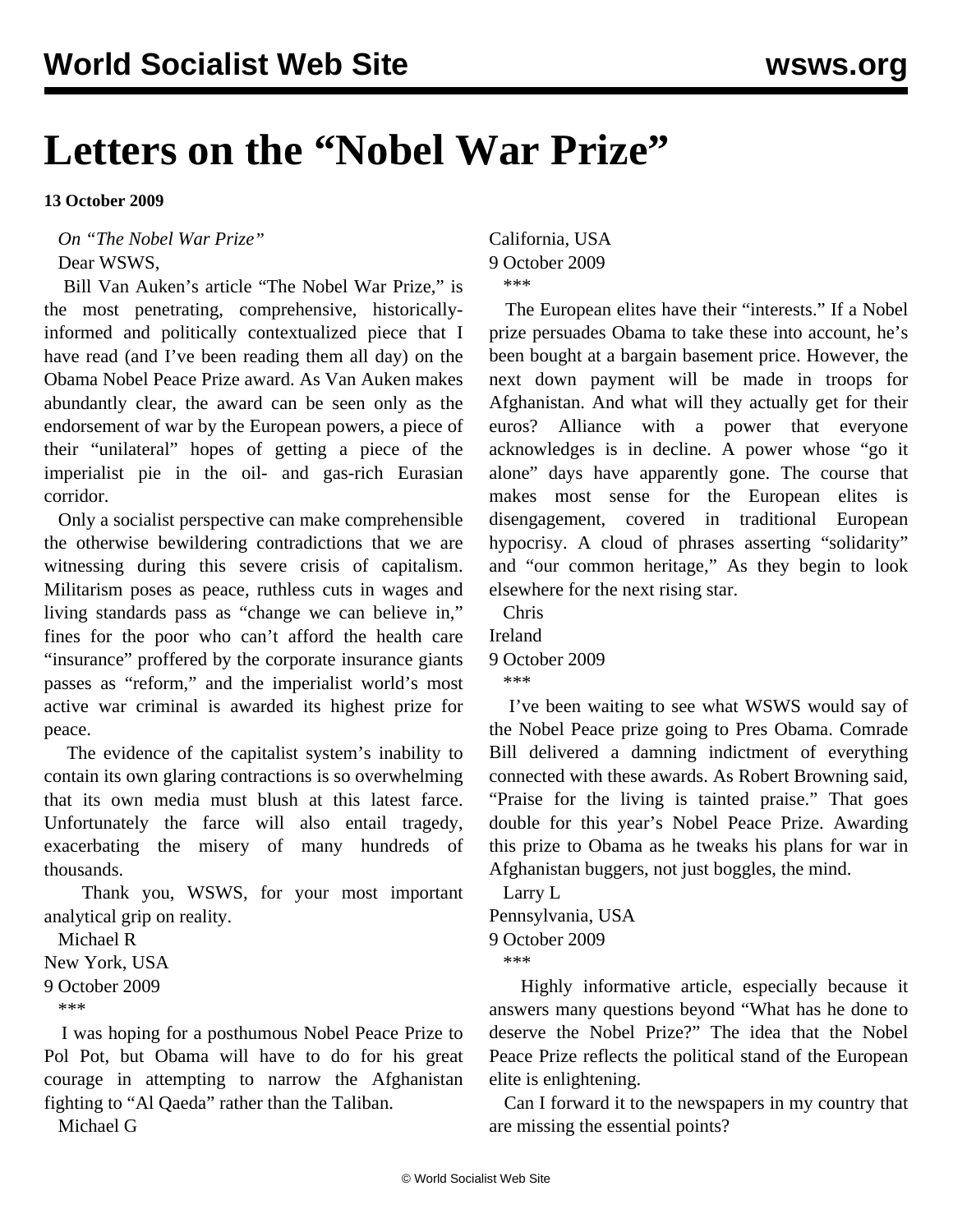## **Letters on the "Nobel War Prize"**

**13 October 2009**

*On "[The Nobel War Prize](/en/articles/2009/oct2009/pers-o10.shtml)"*

Dear WSWS,

 Bill Van Auken's article "The Nobel War Prize," is the most penetrating, comprehensive, historicallyinformed and politically contextualized piece that I have read (and I've been reading them all day) on the Obama Nobel Peace Prize award. As Van Auken makes abundantly clear, the award can be seen only as the endorsement of war by the European powers, a piece of their "unilateral" hopes of getting a piece of the imperialist pie in the oil- and gas-rich Eurasian corridor.

 Only a socialist perspective can make comprehensible the otherwise bewildering contradictions that we are witnessing during this severe crisis of capitalism. Militarism poses as peace, ruthless cuts in wages and living standards pass as "change we can believe in," fines for the poor who can't afford the health care "insurance" proffered by the corporate insurance giants passes as "reform," and the imperialist world's most active war criminal is awarded its highest prize for peace.

 The evidence of the capitalist system's inability to contain its own glaring contractions is so overwhelming that its own media must blush at this latest farce. Unfortunately the farce will also entail tragedy, exacerbating the misery of many hundreds of thousands.

 Thank you, WSWS, for your most important analytical grip on reality.

Michael R

New York, USA

9 October 2009

\*\*\*

 I was hoping for a posthumous Nobel Peace Prize to Pol Pot, but Obama will have to do for his great courage in attempting to narrow the Afghanistan fighting to "Al Qaeda" rather than the Taliban.

Michael G

California, USA 9 October 2009 \*\*\*

 The European elites have their "interests." If a Nobel prize persuades Obama to take these into account, he's been bought at a bargain basement price. However, the next down payment will be made in troops for Afghanistan. And what will they actually get for their euros? Alliance with a power that everyone acknowledges is in decline. A power whose "go it alone" days have apparently gone. The course that makes most sense for the European elites is disengagement, covered in traditional European hypocrisy. A cloud of phrases asserting "solidarity" and "our common heritage," As they begin to look elsewhere for the next rising star.

Chris

Ireland

9 October 2009

\*\*\*

 I've been waiting to see what WSWS would say of the Nobel Peace prize going to Pres Obama. Comrade Bill delivered a damning indictment of everything connected with these awards. As Robert Browning said, "Praise for the living is tainted praise." That goes double for this year's Nobel Peace Prize. Awarding this prize to Obama as he tweaks his plans for war in Afghanistan buggers, not just boggles, the mind.

Larry L

Pennsylvania, USA 9 October 2009 \*\*\*

 Highly informative article, especially because it answers many questions beyond "What has he done to deserve the Nobel Prize?" The idea that the Nobel Peace Prize reflects the political stand of the European elite is enlightening.

 Can I forward it to the newspapers in my country that are missing the essential points?